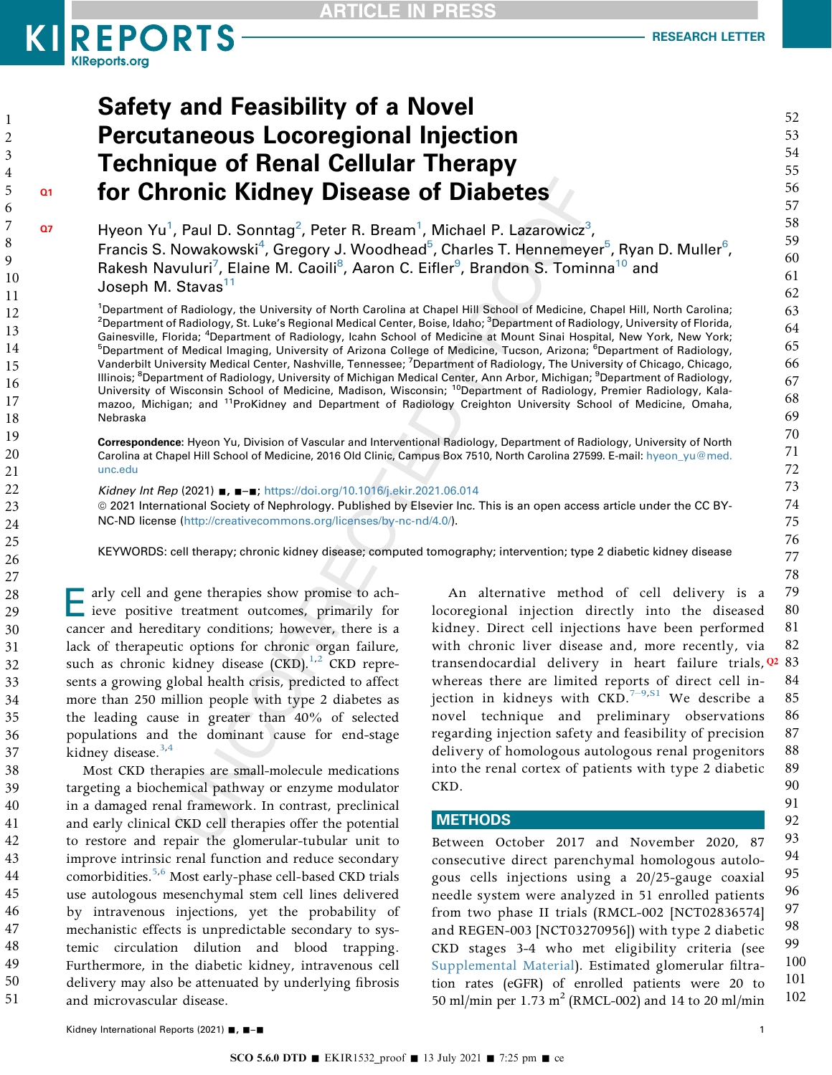## **KIREPORTS KIReports.org**

52

53

54

55

56

57

58

59

60

61

62

63

64

65

66

67

68

69

70

71

72

73

74

75

76

77

78

91

92

# **Safety and Feasibility of a Novel Percutaneous Locoregional Injection Technique of Renal Cellular Therapy** for Chronic Kidney Disease of Diabetes

Hyeon Yu<sup>1</sup>, Paul D. Sonntag<sup>2</sup>, Peter R. Bream<sup>1</sup>, Michael P. Lazarowicz<sup>3</sup>, Francis S. Nowakowski<sup>4</sup>, Gregory J. Woodhead<sup>5</sup>, Charles T. Hennemeyer<sup>5</sup>, Ryan D. Muller<sup>6</sup>, Rakesh Navuluri<sup>7</sup>, Elaine M. Caoili<sup>8</sup>, Aaron C. Eifler<sup>9</sup>, Brandon S. Tominna<sup>10</sup> and Joseph M. Stavas<sup>11</sup>

<span id="page-0-5"></span><span id="page-0-4"></span><span id="page-0-3"></span><span id="page-0-2"></span><span id="page-0-1"></span><span id="page-0-0"></span><sup>1</sup>Department of Radiology, the University of North Carolina at Chapel Hill School of Medicine, Chapel Hill, North Carolina; <sup>2</sup>Department of Radiology, St. Luke's Regional Medical Center, Boise, Idaho; <sup>3</sup>Department of Radiology, University of Florida, Gainesville, Florida; <sup>4</sup>Department of Radiology, Icahn School of Medicine at Mount Sinai Hospital, New York, New York; <sup>5</sup>Department of Medical Imaging, University of Arizona College of Medicine, Tucson, Arizona; <sup>6</sup>Department of Radiology, Vanderbilt University Medical Center, Nashville, Tennessee; <sup>7</sup>Department of Radiology, The University of Chicago, Chicago, Illinois; <sup>8</sup>Department of Radiology, University of Michigan Medical Center, Ann Arbor, Michigan; <sup>9</sup>Department of Radiology, University of Wisconsin School of Medicine, Madison, Wisconsin; <sup>10</sup>Department of Radiology, Premier Radiology, Kalamazoo, Michigan; and <sup>11</sup>ProKidney and Department of Radiology Creighton University School of Medicine, Omaha, Nebraska

<span id="page-0-7"></span><span id="page-0-6"></span>Correspondence: Hyeon Yu, Division of Vascular and Interventional Radiology, Department of Radiology, University of North Carolina at Chapel Hill School of Medicine, 2016 Old Clinic, Campus Box 7510, North Carolina 27599. E-mail: hyeon\_yu@med. unc.edu

Kidney Int Rep (2021) . . . . . https://doi.org/10.1016/j.ekir.2021.06.014 @ 2021 International Society of Nephrology. Published by Elsevier Inc. This is an open access article under the CC BY-NC-ND license (http://creativecommons.org/licenses/by-nc-nd/4.0/).

KEYWORDS: cell therapy; chronic kidney disease; computed tomography; intervention; type 2 diabetic kidney disease

arly cell and gene therapies show promise to achieve positive treatment outcomes, primarily for cancer and hereditary conditions; however, there is a lack of therapeutic options for chronic organ failure, such as chronic kidney disease  $(CKD)$ .<sup>1,2</sup> CKD represents a growing global health crisis, predicted to affect more than 250 million people with type 2 diabetes as the leading cause in greater than 40% of selected populations and the dominant cause for end-stage kidney disease. $3,4$ 

Most CKD therapies are small-molecule medications targeting a biochemical pathway or enzyme modulator in a damaged renal framework. In contrast, preclinical and early clinical CKD cell therapies offer the potential to restore and repair the glomerular-tubular unit to improve intrinsic renal function and reduce secondary comorbidities.<sup>5,6</sup> Most early-phase cell-based CKD trials use autologous mesenchymal stem cell lines delivered by intravenous injections, yet the probability of mechanistic effects is unpredictable secondary to systemic circulation dilution and blood trapping. Furthermore, in the diabetic kidney, intravenous cell delivery may also be attenuated by underlying fibrosis and microvascular disease.

<span id="page-0-8"></span>79 An alternative method of cell delivery is a locoregional injection directly into the diseased 80 kidney. Direct cell injections have been performed 81 with chronic liver disease and, more recently, via 82 transendocardial delivery in heart failure trials, Q2 83 whereas there are limited reports of direct cell in-84 jection in kidneys with CKD.<sup>7-9, S1</sup> We describe a 85 novel technique and preliminary observations 86 87 regarding injection safety and feasibility of precision delivery of homologous autologous renal progenitors 88 89 into the renal cortex of patients with type 2 diabetic 90 CKD.

### **METHODS**

93 Between October 2017 and November 2020, 87 94 consecutive direct parenchymal homologous autolo-95 gous cells injections using a 20/25-gauge coaxial 96 needle system were analyzed in 51 enrolled patients 97 from two phase II trials (RMCL-002 [NCT02836574] 98 and REGEN-003 [NCT03270956]) with type 2 diabetic 99 CKD stages 3-4 who met eligibility criteria (see 100 Supplemental Material). Estimated glomerular filtra-101 tion rates (eGFR) of enrolled patients were 20 to 102 50 ml/min per 1.73 m<sup>2</sup> (RMCL-002) and 14 to 20 ml/min

38

39

40

41

42

43

44

45

46

47

48

49

50

51

 $\mathbf{1}$ 

 $\overline{2}$ 3

 $O<sub>1</sub>$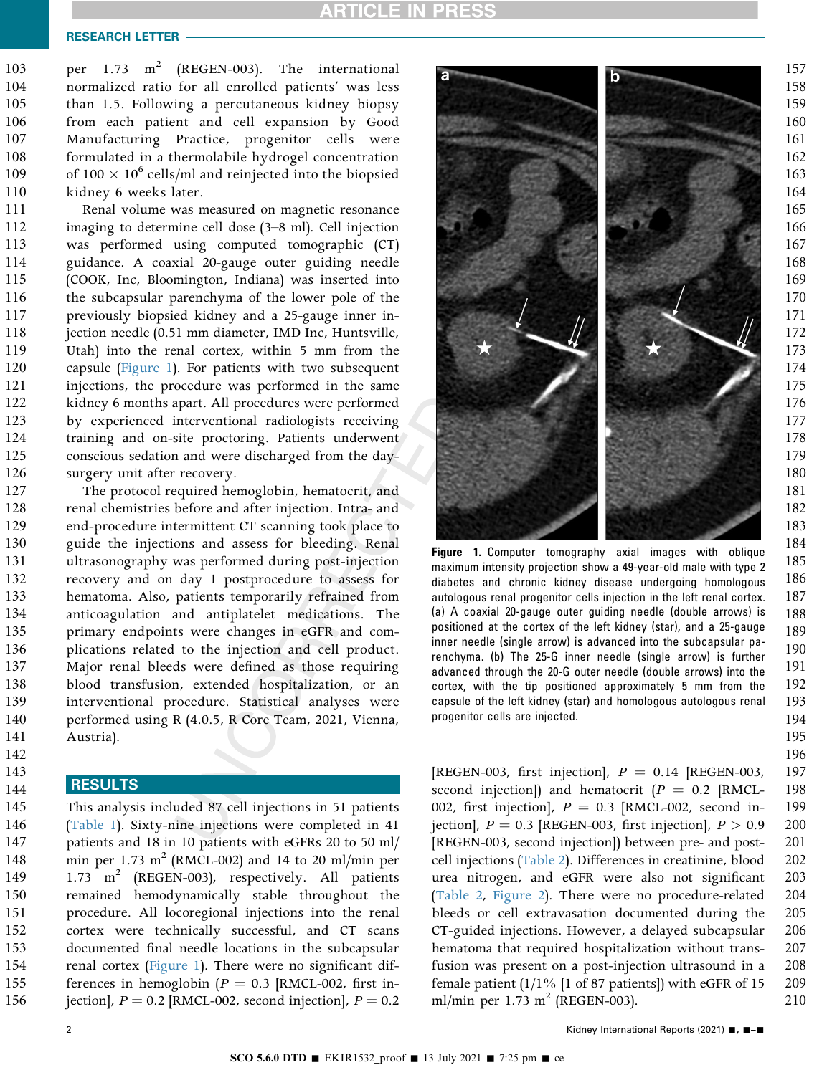### RESEARCH LETTER

per 1.73  $m^2$  (REGEN-003). The international normalized ratio for all enrolled patients' was less than 1.5. Following a percutaneous kidney biopsy from each patient and cell expansion by Good Manufacturing Practice, progenitor cells were formulated in a thermolabile hydrogel concentration of  $100 \times 10^6$  cells/ml and reinjected into the biopsied kidney 6 weeks later. 103 104 105 106 107 108 109 110

Renal volume was measured on magnetic resonance imaging to determine cell dose (3–8 ml). Cell injection was performed using computed tomographic (CT) guidance. A coaxial 20-gauge outer guiding needle (COOK, Inc, Bloomington, Indiana) was inserted into the subcapsular parenchyma of the lower pole of the previously biopsied kidney and a 25-gauge inner injection needle (0.51 mm diameter, IMD Inc, Huntsville, Utah) into the renal cortex, within 5 mm from the capsule [\(Figure 1](#page-1-0)). For patients with two subsequent injections, the procedure was performed in the same kidney 6 months apart. All procedures were performed by experienced interventional radiologists receiving training and on-site proctoring. Patients underwent conscious sedation and were discharged from the daysurgery unit after recovery. 111 112 113 114 115 116 117 118 119 120 121 122 123 124 125 126

The protocol required hemoglobin, hematocrit, and renal chemistries before and after injection. Intra- and end-procedure intermittent CT scanning took place to guide the injections and assess for bleeding. Renal ultrasonography was performed during post-injection recovery and on day 1 postprocedure to assess for hematoma. Also, patients temporarily refrained from anticoagulation and antiplatelet medications. The primary endpoints were changes in eGFR and complications related to the injection and cell product. Major renal bleeds were defined as those requiring blood transfusion, extended hospitalization, or an interventional procedure. Statistical analyses were performed using R (4.0.5, R Core Team, 2021, Vienna, Austria). 127 128 129 130 131 132 133 134 135 136 137 138 139 140 141

### **RESULTS**

142 143 144

This analysis included 87 cell injections in 51 patients ([Table 1\)](#page-2-0). Sixty-nine injections were completed in 41 patients and 18 in 10 patients with eGFRs 20 to 50 ml/ min per 1.73  $m^2$  (RMCL-002) and 14 to 20 ml/min per 1.73  $m^2$  (REGEN-003), respectively. All patients remained hemodynamically stable throughout the procedure. All locoregional injections into the renal cortex were technically successful, and CT scans documented final needle locations in the subcapsular renal cortex ([Figure 1](#page-1-0)). There were no significant differences in hemoglobin ( $P = 0.3$  [RMCL-002, first injection],  $P = 0.2$  [RMCL-002, second injection],  $P = 0.2$ 145 146 147 148 149 150 151 152 153 154 155 156

<span id="page-1-0"></span>

Figure 1. Computer tomography axial images with oblique maximum intensity projection show a 49-year-old male with type 2 diabetes and chronic kidney disease undergoing homologous autologous renal progenitor cells injection in the left renal cortex. (a) A coaxial 20-gauge outer guiding needle (double arrows) is positioned at the cortex of the left kidney (star), and a 25-gauge inner needle (single arrow) is advanced into the subcapsular parenchyma. (b) The 25-G inner needle (single arrow) is further advanced through the 20-G outer needle (double arrows) into the cortex, with the tip positioned approximately 5 mm from the capsule of the left kidney (star) and homologous autologous renal progenitor cells are injected. 185 186 187 188 189 190 191 192 193

194 195 196

[REGEN-003, first injection],  $P = 0.14$  [REGEN-003, second injection]) and hematocrit  $(P = 0.2$  [RMCL-002, first injection],  $P = 0.3$  [RMCL-002, second injection],  $P = 0.3$  [REGEN-003, first injection],  $P > 0.9$ [REGEN-003, second injection]) between pre- and postcell injections ([Table 2](#page-3-0)). Differences in creatinine, blood urea nitrogen, and eGFR were also not significant ([Table 2](#page-3-0), [Figure 2\)](#page-4-7). There were no procedure-related bleeds or cell extravasation documented during the CT-guided injections. However, a delayed subcapsular hematoma that required hospitalization without transfusion was present on a post-injection ultrasound in a female patient  $(1/1\%$  [1 of 87 patients]) with eGFR of 15 ml/min per  $1.73 \text{ m}^2$  (REGEN-003). 197 198 199 200 201 202 203 204 205 206 207 208 209 210

2 and  $\overline{a}$  Kidney International Reports (2021)  $\overline{a}$ ,  $\overline{a}$   $\overline{b}$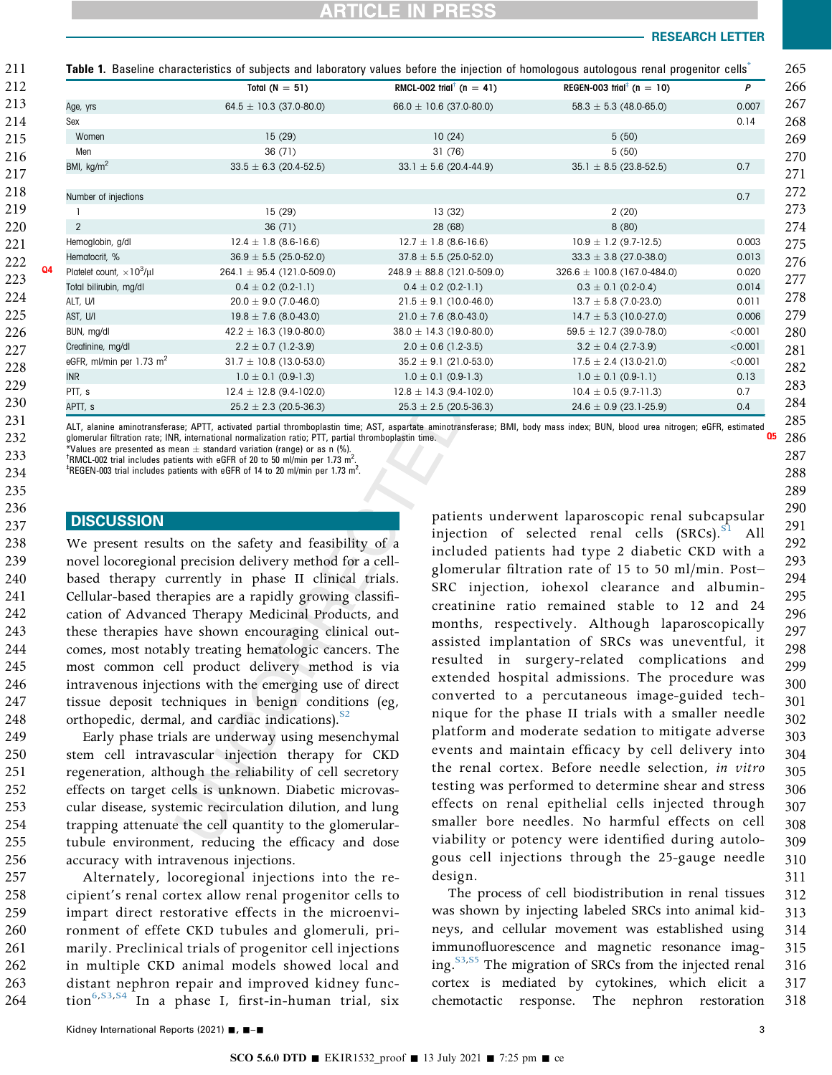### RESEARCH LETTER

<span id="page-2-0"></span>

|                                                     | Total $(N = 51)$               | RMCL-002 trial <sup><math>\dagger</math></sup> (n = 41) | REGEN-003 trial <sup>‡</sup> (n = 10) | P       |
|-----------------------------------------------------|--------------------------------|---------------------------------------------------------|---------------------------------------|---------|
| Age, yrs                                            | $64.5 \pm 10.3$ (37.0-80.0)    | $66.0 \pm 10.6$ (37.0-80.0)                             | $58.3 \pm 5.3$ (48.0-65.0)            | 0.007   |
| Sex                                                 |                                |                                                         |                                       | 0.14    |
| Women                                               | 15(29)                         | 10(24)                                                  | 5(50)                                 |         |
| Men                                                 | 36(71)                         | 31(76)                                                  | 5(50)                                 |         |
| BMI, kg/m <sup>2</sup>                              | $33.5 \pm 6.3$ (20.4-52.5)     | $33.1 \pm 5.6$ (20.4-44.9)                              | $35.1 \pm 8.5$ (23.8-52.5)            | 0.7     |
| Number of injections                                |                                |                                                         |                                       | 0.7     |
|                                                     | 15(29)                         | 13(32)                                                  | 2(20)                                 |         |
| 2                                                   | 36(71)                         | 28 (68)                                                 | 8(80)                                 |         |
| Hemoglobin, g/dl                                    | $12.4 \pm 1.8$ (8.6-16.6)      | $12.7 \pm 1.8$ (8.6-16.6)                               | $10.9 \pm 1.2$ (9.7-12.5)             | 0.003   |
| Hematocrit, %                                       | $36.9 \pm 5.5$ (25.0-52.0)     | $37.8 \pm 5.5$ (25.0-52.0)                              | $33.3 \pm 3.8$ (27.0-38.0)            | 0.013   |
| Q <sub>4</sub><br>Platelet count, $\times 10^3$ /µl | $264.1 \pm 95.4$ (121.0-509.0) | $248.9 \pm 88.8$ (121.0-509.0)                          | $326.6 \pm 100.8$ (167.0-484.0)       | 0.020   |
| Total bilirubin, mg/dl                              | $0.4 \pm 0.2$ (0.2-1.1)        | $0.4 \pm 0.2$ (0.2-1.1)                                 | $0.3 \pm 0.1$ (0.2-0.4)               | 0.014   |
| ALT, U/I                                            | $20.0 \pm 9.0$ (7.0-46.0)      | $21.5 \pm 9.1$ (10.0-46.0)                              | $13.7 \pm 5.8$ (7.0-23.0)             | 0.011   |
| AST, U/I                                            | $19.8 \pm 7.6$ (8.0-43.0)      | $21.0 \pm 7.6$ (8.0-43.0)                               | $14.7 \pm 5.3$ (10.0-27.0)            | 0.006   |
| BUN, mg/dl                                          | $42.2 \pm 16.3$ (19.0-80.0)    | $38.0 \pm 14.3$ (19.0-80.0)                             | $59.5 \pm 12.7$ (39.0-78.0)           | < 0.001 |
| Creatinine, mg/dl                                   | $2.2 \pm 0.7$ (1.2-3.9)        | $2.0 \pm 0.6$ (1.2-3.5)                                 | $3.2 \pm 0.4$ (2.7-3.9)               | < 0.001 |
| eGFR, ml/min per $1.73 \text{ m}^2$                 | $31.7 \pm 10.8$ (13.0-53.0)    | $35.2 \pm 9.1$ (21.0-53.0)                              | $17.5 \pm 2.4$ (13.0-21.0)            | < 0.001 |
| <b>INR</b>                                          | $1.0 \pm 0.1$ (0.9-1.3)        | $1.0 \pm 0.1$ (0.9-1.3)                                 | $1.0 \pm 0.1$ (0.9-1.1)               | 0.13    |
| PTT, s                                              | $12.4 \pm 12.8$ (9.4-102.0)    | $12.8 \pm 14.3$ (9.4-102.0)                             | $10.4 \pm 0.5$ (9.7-11.3)             | 0.7     |
| APTT, s                                             | $25.2 \pm 2.3$ (20.5-36.3)     | $25.3 \pm 2.5$ (20.5-36.3)                              | $24.6 \pm 0.9$ (23.1-25.9)            | 0.4     |

<span id="page-2-1"></span>ALT, alanine aminotransferase; APTT, activated partial thromboplastin time; AST, aspartate aminotransferase; BMI, body mass index; BUN, blood urea nitrogen; eGFR, estimated glomerular filtration rate; INR, international normalization ratio; PTT, partial thromboplastin time.<br>\*Values are presented as mean  $\pm$  standard variation (range) or as n (%).<br>\*PAACL one trial includes patients with oCEP

<span id="page-2-3"></span><span id="page-2-2"></span><sup>t</sup>RMCL-002 trial includes patients with eGFR of 20 to 50 ml/min per 1.73 m<sup>2</sup>.<br><sup>‡DECEN</sup> 002 trial includes patients with eGEP of 14 to 20 ml/min per 1.73 m<sup>2</sup>. .

 $^{\rm \tiny \rm ^{\rm \tiny H} }$ REGEN-003 trial includes patients with eGFR of 14 to 20 ml/min per 1.73 m $^2$ 

### **DISCUSSION**

We present results on the safety and feasibility of a novel locoregional precision delivery method for a cellbased therapy currently in phase II clinical trials. Cellular-based therapies are a rapidly growing classification of Advanced Therapy Medicinal Products, and these therapies have shown encouraging clinical outcomes, most notably treating hematologic cancers. The most common cell product delivery method is via intravenous injections with the emerging use of direct tissue deposit techniques in benign conditions (eg, orthopedic, dermal, and cardiac indications). $^{52}$ 238 239 240 241 242 243 244 245 246 247 248

Early phase trials are underway using mesenchymal stem cell intravascular injection therapy for CKD regeneration, although the reliability of cell secretory effects on target cells is unknown. Diabetic microvascular disease, systemic recirculation dilution, and lung trapping attenuate the cell quantity to the glomerulartubule environment, reducing the efficacy and dose accuracy with intravenous injections. 249 250 251 252 253 254 255 256

Alternately, locoregional injections into the recipient's renal cortex allow renal progenitor cells to impart direct restorative effects in the microenvironment of effete CKD tubules and glomeruli, primarily. Preclinical trials of progenitor cell injections in multiple CKD animal models showed local and distant nephron repair and improved kidney func-tion<sup>[6,](#page-4-5)[S3,S4](#page-0-8)</sup> In a phase I, first-in-human trial, six 257 258 259 260 261 262 263 264

patients underwent laparoscopic renal subcapsular injection of selected renal cells  $(SRCs)$ .<sup>[S1](#page-0-8)</sup> All included patients had type 2 diabetic CKD with a glomerular filtration rate of 15 to 50 ml/min. Post– SRC injection, iohexol clearance and albumincreatinine ratio remained stable to 12 and 24 months, respectively. Although laparoscopically assisted implantation of SRCs was uneventful, it resulted in surgery-related complications and extended hospital admissions. The procedure was converted to a percutaneous image-guided technique for the phase II trials with a smaller needle platform and moderate sedation to mitigate adverse events and maintain efficacy by cell delivery into the renal cortex. Before needle selection, in vitro testing was performed to determine shear and stress effects on renal epithelial cells injected through smaller bore needles. No harmful effects on cell viability or potency were identified during autologous cell injections through the 25-gauge needle design. 290 291 292 293 294 295 296 297 298 299 300 301 302 303 304 305 306 307 308 309 310 311

The process of cell biodistribution in renal tissues was shown by injecting labeled SRCs into animal kidneys, and cellular movement was established using immunofluorescence and magnetic resonance imaging.<sup>S3,S5</sup> The migration of SRCs from the injected renal cortex is mediated by cytokines, which elicit a chemotactic response. The nephron restoration 312 313 314 315 316 317 318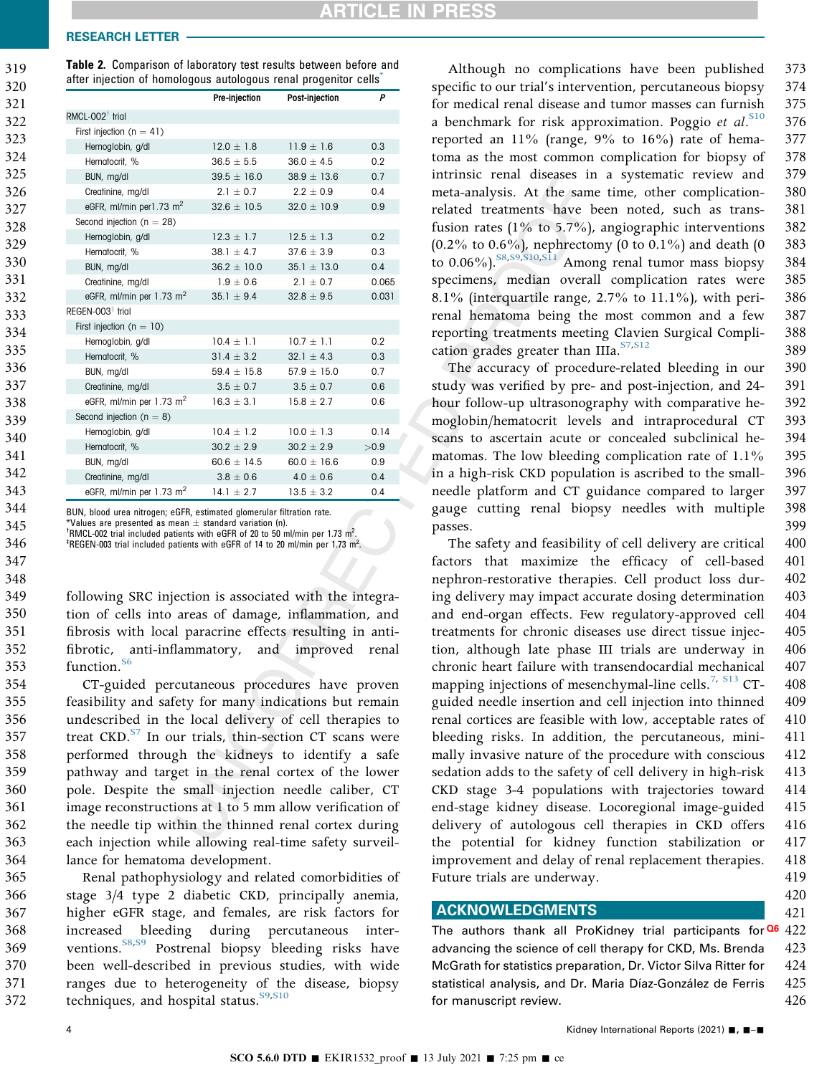### <span id="page-3-0"></span>RESEARCH LETTER

319

Table 2. Comparison of laboratory test results between before and after injection of homologous autologous renal progenitor cells

| 320 | alter injection of nonfologous autologous renarprogenitor cens |                 |                 |       |  |
|-----|----------------------------------------------------------------|-----------------|-----------------|-------|--|
| 321 |                                                                | Pre-injection   | Post-injection  | P     |  |
| 322 | RMCL-002 $^{\dagger}$ trial                                    |                 |                 |       |  |
| 323 | First injection ( $n = 41$ )                                   |                 |                 |       |  |
| 324 | Hemoglobin, g/dl                                               | $12.0 \pm 1.8$  | $11.9 \pm 1.6$  | 0.3   |  |
|     | Hematocrit, %                                                  | $36.5 \pm 5.5$  | $36.0 \pm 4.5$  | 0.2   |  |
| 325 | BUN, mg/dl                                                     | $39.5 \pm 16.0$ | $38.9 \pm 13.6$ | 0.7   |  |
| 326 | Creatinine, mg/dl                                              | $2.1 \pm 0.7$   | $2.2 \pm 0.9$   | 0.4   |  |
| 327 | eGFR, ml/min per 1.73 $m2$                                     | $32.6 \pm 10.5$ | $32.0 \pm 10.9$ | 0.9   |  |
| 328 | Second injection ( $n = 28$ )                                  |                 |                 |       |  |
| 329 | Hemoglobin, g/dl                                               | $12.3 \pm 1.7$  | $12.5 \pm 1.3$  | 0.2   |  |
|     | Hematocrit, %                                                  | $38.1 \pm 4.7$  | $37.6 \pm 3.9$  | 0.3   |  |
| 330 | BUN, mg/dl                                                     | $36.2 \pm 10.0$ | $35.1 \pm 13.0$ | 0.4   |  |
| 331 | Creatinine, mg/dl                                              | $1.9 \pm 0.6$   | $2.1 \pm 0.7$   | 0.065 |  |
| 332 | eGFR, ml/min per $1.73$ m <sup>2</sup>                         | $35.1 \pm 9.4$  | $32.8 \pm 9.5$  | 0.031 |  |
| 333 | $REGEN-003‡$ trial                                             |                 |                 |       |  |
| 334 | First injection ( $n = 10$ )                                   |                 |                 |       |  |
| 335 | Hemoglobin, g/dl                                               | $10.4 \pm 1.1$  | $10.7 \pm 1.1$  | 0.2   |  |
|     | Hematocrit, %                                                  | $31.4 \pm 3.2$  | 32.1 $\pm$ 4.3  | 0.3   |  |
| 336 | BUN, mg/dl                                                     | $59.4 \pm 15.8$ | $57.9 \pm 15.0$ | 0.7   |  |
| 337 | Creatinine, mg/dl                                              | $3.5 \pm 0.7$   | $3.5 \pm 0.7$   | 0.6   |  |
| 338 | eGFR, ml/min per 1.73 m <sup>2</sup>                           | $16.3 \pm 3.1$  | $15.8 \pm 2.7$  | 0.6   |  |
| 339 | Second injection ( $n = 8$ )                                   |                 |                 |       |  |
| 340 | Hemoglobin, g/dl                                               | $10.4 \pm 1.2$  | $10.0 \pm 1.3$  | 0.14  |  |
|     | Hematocrit, %                                                  | $30.2 \pm 2.9$  | $30.2 \pm 2.9$  | >0.9  |  |
| 341 | BUN, mg/dl                                                     | $60.6 \pm 14.5$ | $60.0 \pm 16.6$ | 0.9   |  |
| 342 | Creatinine, mg/dl                                              | $3.8 \pm 0.6$   | $4.0 \pm 0.6$   | 0.4   |  |
| 343 | eGFR, ml/min per $1.73$ m <sup>2</sup>                         | $14.1 \pm 2.7$  | $13.5 \pm 3.2$  | 0.4   |  |

BUN, blood urea nitrogen; eGFR, estimated glomerular filtration rate.

<span id="page-3-1"></span>Values are presented as mean  $\pm$  standard variation (n).

<span id="page-3-3"></span><span id="page-3-2"></span><sup>t</sup>RMCL-002 trial included patients with eGFR of 20 to 50 ml/min per 1.73 m<sup>2</sup>.<br><sup>‡DECEN</sup> 002 trial included patients with eGEP of 14 to 20 ml/min per 1.73 m<sup>2</sup>. REGEN-003 trial included patients with eGFR of 14 to 20 ml/min per 1.73 m<sup>2</sup>.

following SRC injection is associated with the integration of cells into areas of damage, inflammation, and fibrosis with local paracrine effects resulting in antifibrotic, anti-inflammatory, and improved renal function.<sup>[S6](#page-0-8)</sup>

CT-guided percutaneous procedures have proven feasibility and safety for many indications but remain undescribed in the local delivery of cell therapies to treat CKD.<sup>[S7](#page-0-8)</sup> In our trials, thin-section CT scans were performed through the kidneys to identify a safe pathway and target in the renal cortex of the lower pole. Despite the small injection needle caliber, CT image reconstructions at 1 to 5 mm allow verification of the needle tip within the thinned renal cortex during each injection while allowing real-time safety surveillance for hematoma development. 354 355 356 357 358 359 360 361 362 363 364

Renal pathophysiology and related comorbidities of stage 3/4 type 2 diabetic CKD, principally anemia, higher eGFR stage, and females, are risk factors for increased bleeding during percutaneous inter-ventions.<sup>[S8,S9](#page-0-8)</sup> Postrenal biopsy bleeding risks have been well-described in previous studies, with wide ranges due to heterogeneity of the disease, biopsy techniques, and hospital status.<sup>[S9,S10](#page-0-8)</sup> 365 366 367 368 369 370 371 372

Although no complications have been published specific to our trial's intervention, percutaneous biopsy for medical renal disease and tumor masses can furnish a benchmark for risk approximation. Poggio et  $al$ .<sup>[S10](#page-0-8)</sup> reported an 11% (range, 9% to 16%) rate of hematoma as the most common complication for biopsy of intrinsic renal diseases in a systematic review and meta-analysis. At the same time, other complicationrelated treatments have been noted, such as transfusion rates (1% to 5.7%), angiographic interventions (0.2% to 0.6%), nephrectomy (0 to 0.1%) and death (0 to 0.06%).<sup>S8,S9,S10,S11</sup> Among renal tumor mass biopsy specimens, median overall complication rates were 8.1% (interquartile range, 2.7% to 11.1%), with perirenal hematoma being the most common and a few reporting treatments meeting Clavien Surgical Complication grades greater than IIIa. $^{S7, S12}$  $^{S7, S12}$  $^{S7, S12}$  $^{S7, S12}$  $^{S7, S12}$ 373 374 375 376 377 378 379 380 381 382 383 384 385 386 387 388 389

The accuracy of procedure-related bleeding in our study was verified by pre- and post-injection, and 24 hour follow-up ultrasonography with comparative hemoglobin/hematocrit levels and intraprocedural CT scans to ascertain acute or concealed subclinical hematomas. The low bleeding complication rate of 1.1% in a high-risk CKD population is ascribed to the smallneedle platform and CT guidance compared to larger gauge cutting renal biopsy needles with multiple passes. 390 391 392 393 394 395 396 397 398 399

The safety and feasibility of cell delivery are critical factors that maximize the efficacy of cell-based nephron-restorative therapies. Cell product loss during delivery may impact accurate dosing determination and end-organ effects. Few regulatory-approved cell treatments for chronic diseases use direct tissue injection, although late phase III trials are underway in chronic heart failure with transendocardial mechanical mapping injections of mesenchymal-line cells.<sup>[7,](#page-4-6) [S13](#page-0-8)</sup> CTguided needle insertion and cell injection into thinned renal cortices are feasible with low, acceptable rates of bleeding risks. In addition, the percutaneous, minimally invasive nature of the procedure with conscious sedation adds to the safety of cell delivery in high-risk CKD stage 3-4 populations with trajectories toward end-stage kidney disease. Locoregional image-guided delivery of autologous cell therapies in CKD offers the potential for kidney function stabilization or improvement and delay of renal replacement therapies. Future trials are underway. 400 401 402 403 404 405 406 407 408 409 410 411 412 413 414 415 416 417 418 419

### ACKNOWLEDGMENTS

The authors thank all ProKidney trial participants for<sup>06</sup> 422 advancing the science of cell therapy for CKD, Ms. Brenda McGrath for statistics preparation, Dr. Victor Silva Ritter for statistical analysis, and Dr. Maria Díaz-González de Ferris for manuscript review. 423 424 425 426